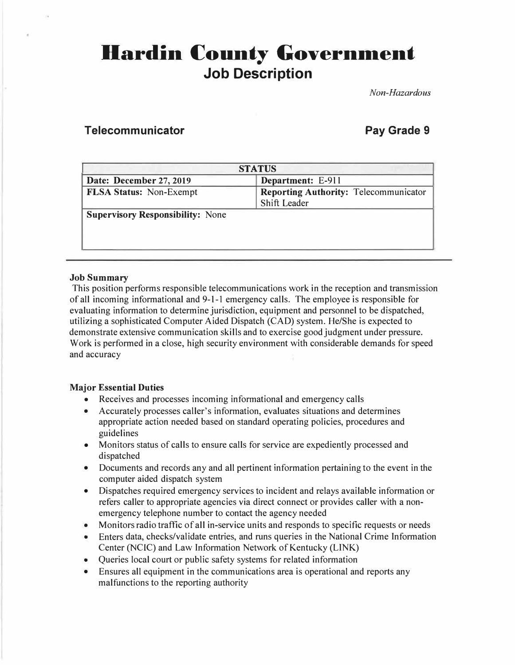# **Hardin County Government Job Description**

*Non-Hazardous* 

# **Telecommunicator Pay Grade 9**

| <b>STATUS</b>                           |                                              |
|-----------------------------------------|----------------------------------------------|
| Date: December 27, 2019                 | Department: E-911                            |
| <b>FLSA Status: Non-Exempt</b>          | <b>Reporting Authority: Telecommunicator</b> |
|                                         | Shift Leader                                 |
| <b>Supervisory Responsibility:</b> None |                                              |
|                                         |                                              |
|                                         |                                              |
|                                         |                                              |

# **Job Summary**

This position performs responsible telecommunications work in the reception and transmission of all incoming informational and 9-1-1 emergency calls. The employee is responsible for evaluating information to determine jurisdiction, equipment and personnel to be dispatched, utilizing a sophisticated Computer Aided Dispatch (CAD) system. He/She is expected to demonstrate extensive communication skills and to exercise good judgment under pressure. Work is performed in a close, high security environment with considerable demands for speed and accuracy

# **Major Essential Duties**

- Receives and processes incoming informational and emergency calls
- Accurately processes caller's information, evaluates situations and determines appropriate action needed based on standard operating policies, procedures and guidelines
- Monitors status of calls to ensure calls for service are expediently processed and dispatched
- Documents and records any and all pertinent information pertaining to the event in the computer aided dispatch system
- Dispatches required emergency services to incident and relays available information or refers caller to appropriate agencies via direct connect or provides caller with a nonemergency telephone number to contact the agency needed
- Monitors radio traffic of all in-service units and responds to specific requests or needs
- Enters data, checks/validate entries, and runs queries in the National Crime Information Center (NCIC) and Law Information Network of Kentucky (LINK)
- Queries local court or public safety systems for related information
- Ensures all equipment in the communications area is operational and reports any malfunctions to the reporting authority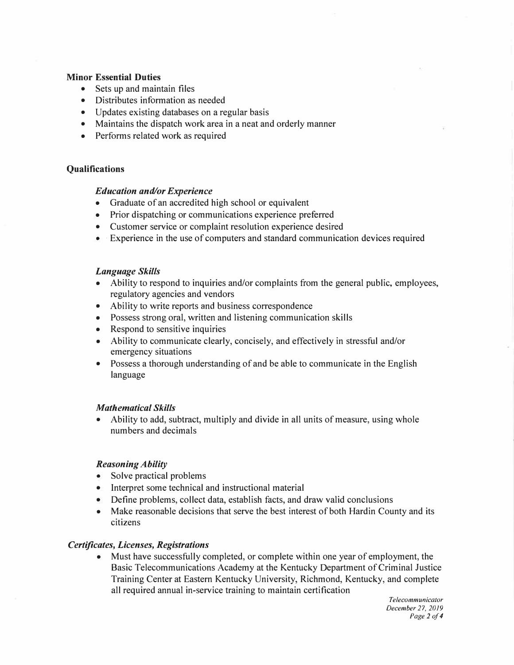#### **Minor Essential Duties**

- Sets up and maintain files
- Distributes information as needed
- Updates existing databases on a regular basis
- Maintains the dispatch work area in a neat and orderly manner
- Performs related work as required

# **Qualifications**

# *Education and/or Experience*

- Graduate of an accredited high school or equivalent
- Prior dispatching or communications experience preferred
- Customer service or complaint resolution experience desired
- · Experience in the use of computers and standard communication devices required

# *Language Skills*

- Ability to respond to inquiries and/or complaints from the general public, employees, regulatory agencies and vendors
- Ability to write reports and business correspondence
- Possess strong oral, written and listening communication skills
- Respond to sensitive inquiries
- Ability to communicate clearly, concisely, and effectively in stressful and/or emergency situations
- Possess a thorough understanding of and be able to communicate in the English language

# *Mathematical Skills*

• Ability to add, subtract, multiply and divide in all units of measure, using whole numbers and decimals

# *Reasoning Ability*

- Solve practical problems
- Interpret some technical and instructional material
- Define problems, collect data, establish facts, and draw valid conclusions
- Make reasonable decisions that serve the best interest of both Hardin County and its citizens

# *Certificates, Licenses, Registrations*

• Must have successfully completed, or complete within one year of employment, the Basic Telecommunications Academy at the Kentucky Department of Criminal Justice Training Center at Eastern Kentucky University, Richmond, Kentucky, and complete all required annual in-service training to maintain certification

> *Telecommunicator December 27, 2019 Page 2 of 4*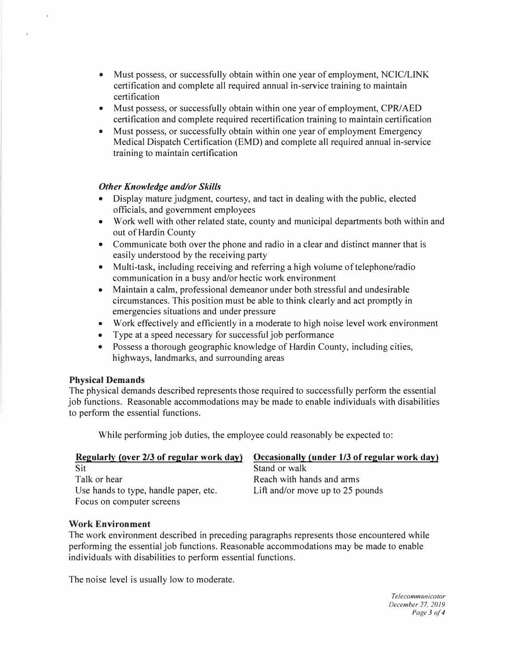- Must possess, or successfully obtain within one year of employment, NCIC/LINK certification and complete all required annual in-service training to maintain certification
- Must possess, or successfully obtain within one year of employment, CPR/AED certification and complete required recertification training to maintain certification
- Must possess, or successfully obtain within one year of employment Emergency Medical Dispatch Certification (EMO) and complete all required annual in-service training to maintain certification

# *Other Knowledge and/or Skills*

- Display mature judgment, courtesy, and tact in dealing with the public, elected officials, and government employees
- Work well with other related state, county and municipal departments both within and out of Hardin County
- Communicate both over the phone and radio in a clear and distinct manner that is easily understood by the receiving party
- Multi-task, including receiving and referring a high volume of telephone/radio communication in a busy and/or hectic work environment
- Maintain a calm, professional demeanor under both stressful and undesirable circumstances. This position must be able to think clearly and act promptly in emergencies situations and under pressure
- Work effectively and efficiently in a moderate to high noise level work environment
- Type at a speed necessary for successful job performance
- Possess a thorough geographic knowledge of Hardin County, including cities, highways, landmarks, and surrounding areas

# **Physical Demands**

The physical demands described represents those required to successfully perform the essential job functions. Reasonable accommodations may be made to enable individuals with disabilities to perform the essential functions.

While performing job duties, the employee could reasonably be expected to:

| Regularly (over 2/3 of regular work day)                           | Occasionally (under 1/3 of regular work day) |
|--------------------------------------------------------------------|----------------------------------------------|
| Sit                                                                | Stand or walk                                |
| Talk or hear                                                       | Reach with hands and arms                    |
| Use hands to type, handle paper, etc.<br>Focus on computer screens | Lift and/or move up to 25 pounds             |

# **Work Environment**

The work environment described in preceding paragraphs represents those encountered while performing the essential job functions. Reasonable accommodations may be made to enable individuals with disabilities to perform essential functions.

The noise level is usually low to moderate.

*Te/ecommunicator December 27, 20/9 Page 3 of 4*